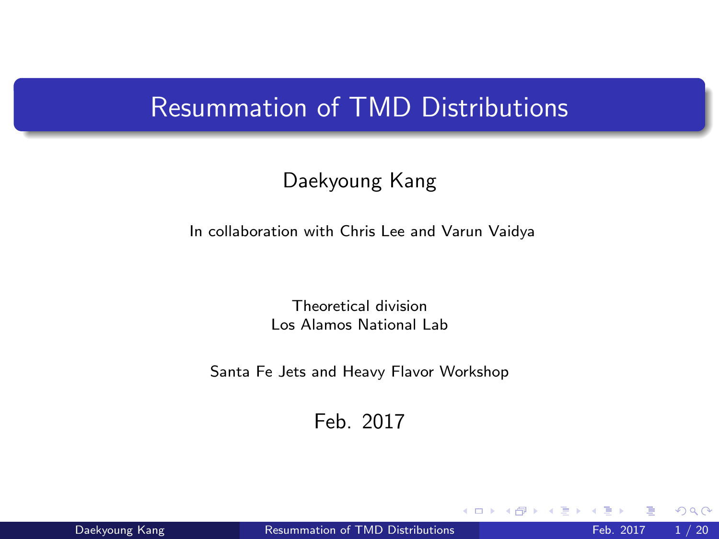# <span id="page-0-0"></span>Resummation of TMD Distributions

#### Daekyoung Kang

In collaboration with Chris Lee and Varun Vaidya

Theoretical division Los Alamos National Lab

Santa Fe Jets and Heavy Flavor Workshop

Feb. 2017

4 D F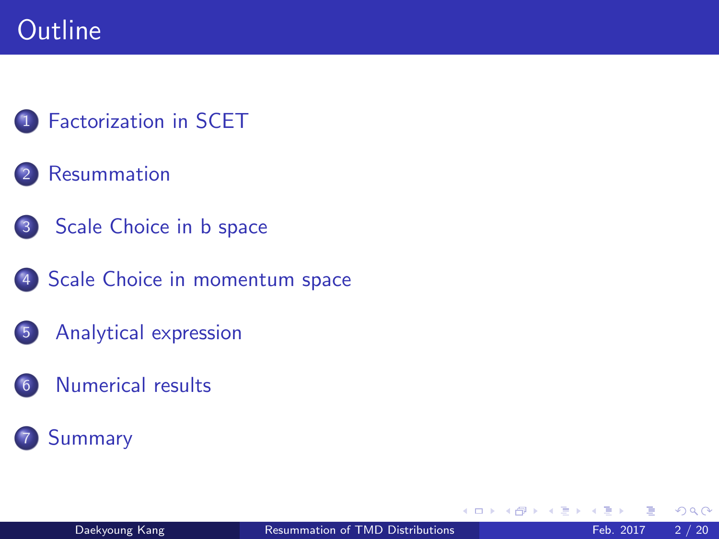# **Outline**

### **[Factorization in SCET](#page-2-0)**

#### **[Resummation](#page-2-0)**

- 3 [Scale Choice in b space](#page-2-0)
- 4 [Scale Choice in momentum space](#page-2-0)
- 5 [Analytical expression](#page-2-0)
- 6 [Numerical results](#page-2-0)

## **[Summary](#page-2-0)**

 $\leftarrow$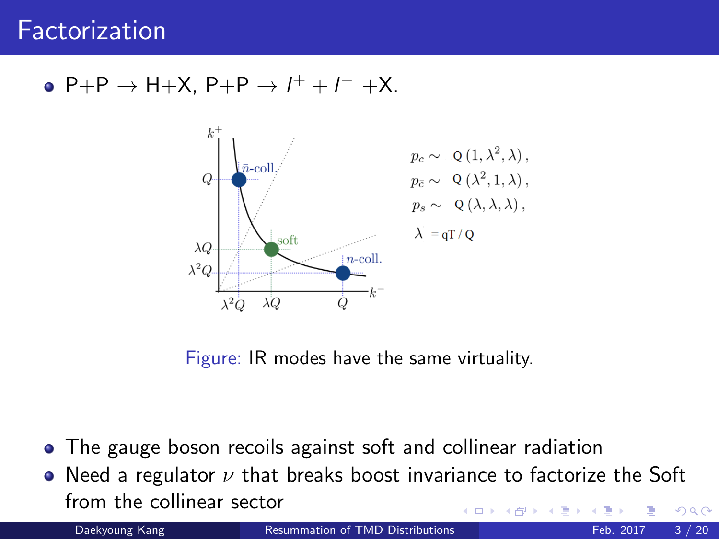## <span id="page-2-0"></span> $P+P \rightarrow H+X$ ,  $P+P \rightarrow I^+ + I^- +X$ .



Figure: IR modes have the same virtuality.

- The gauge boson recoils against soft and collinear radiation
- Need a regulator  $\nu$  that breaks boost invariance to factorize the Soft from the collinear sector  $\Omega$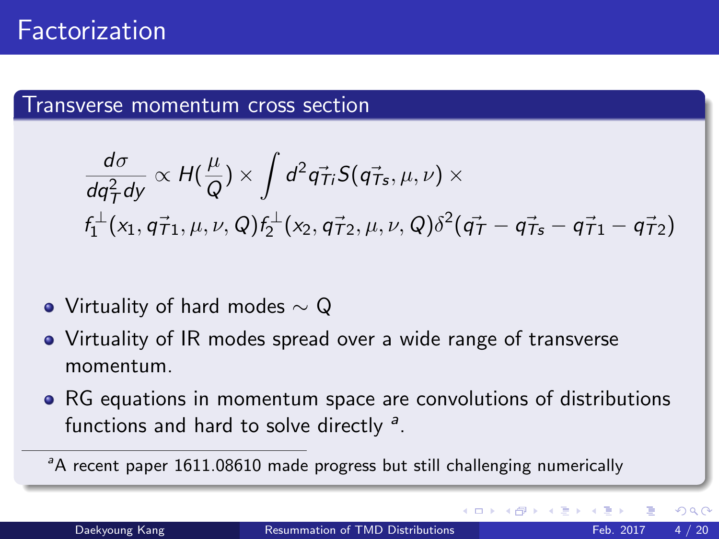#### Transverse momentum cross section

$$
\frac{d\sigma}{dq_T^2dy} \propto H(\frac{\mu}{Q}) \times \int d^2\vec{q_{Ti}} S(\vec{q_{Ts}}, \mu, \nu) \times f_1^{\perp}(x_1, \vec{q_{T1}}, \mu, \nu, Q) f_2^{\perp}(x_2, \vec{q_{T2}}, \mu, \nu, Q) \delta^2(\vec{q_T} - \vec{q_{Ts}} - \vec{q_{T1}} - \vec{q_{T2}})
$$

- Virtuality of hard modes  $\sim$  Q
- Virtuality of IR modes spread over a wide range of transverse momentum.
- RG equations in momentum space are convolutions of distributions functions and hard to solve directly <sup>a</sup>.

<sup>&</sup>lt;sup>a</sup>A recent paper 1611.08610 made progress but still challenging numerically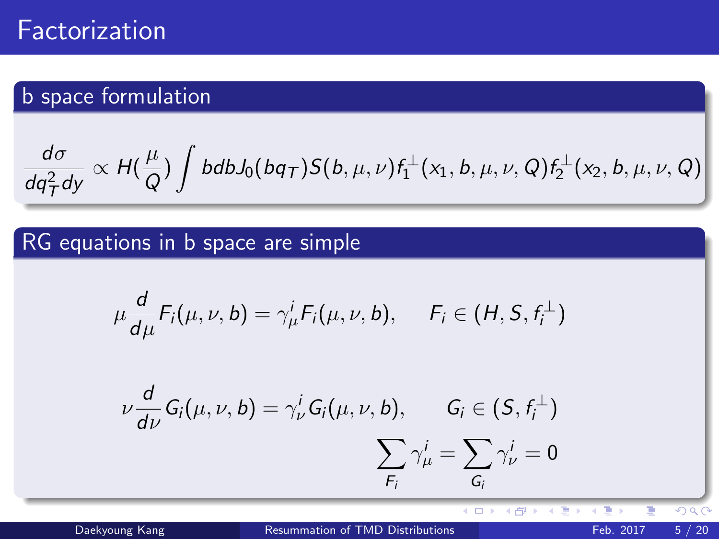## b space formulation

$$
\frac{d\sigma}{dq_T^2dy} \propto H(\frac{\mu}{Q}) \int bdb J_0(bq_T) S(b,\mu,\nu) f_1^{\perp}(x_1,b,\mu,\nu,Q) f_2^{\perp}(x_2,b,\mu,\nu,Q)
$$

## RG equations in b space are simple

$$
\mu \frac{d}{d\mu} F_i(\mu, \nu, b) = \gamma^i_\mu F_i(\mu, \nu, b), \quad F_i \in (H, S, f_i^{\perp})
$$

$$
\nu \frac{d}{d\nu} G_i(\mu, \nu, b) = \gamma_\nu^i G_i(\mu, \nu, b), \qquad G_i \in (S, f_i^{\perp})
$$

$$
\sum_{F_i} \gamma_\mu^i = \sum_{G_i} \gamma_\nu^i = 0
$$

Daekyoung Kang **[Resummation of TMD Distributions](#page-0-0)** Feb. 2017 5/20

 $\overline{4}$   $\overline{1}$   $\overline{1}$   $\overline{1}$ 

4 间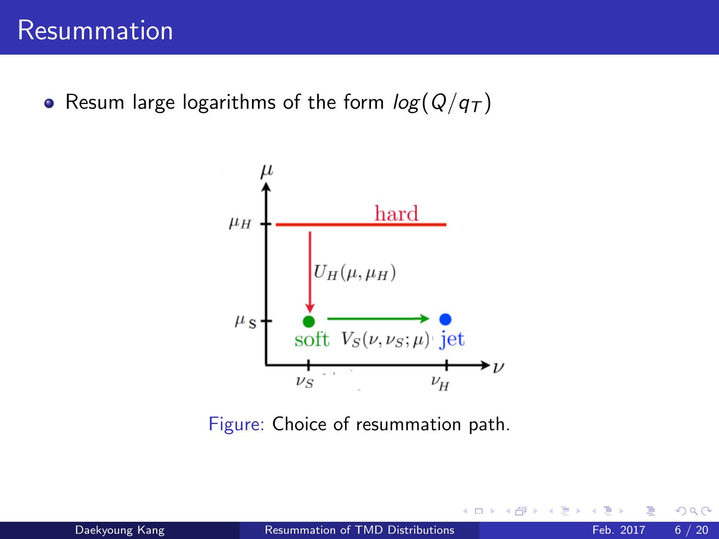• Resum large logarithms of the form  $log(Q/q_T)$ 



Figure: Choice of resummation path.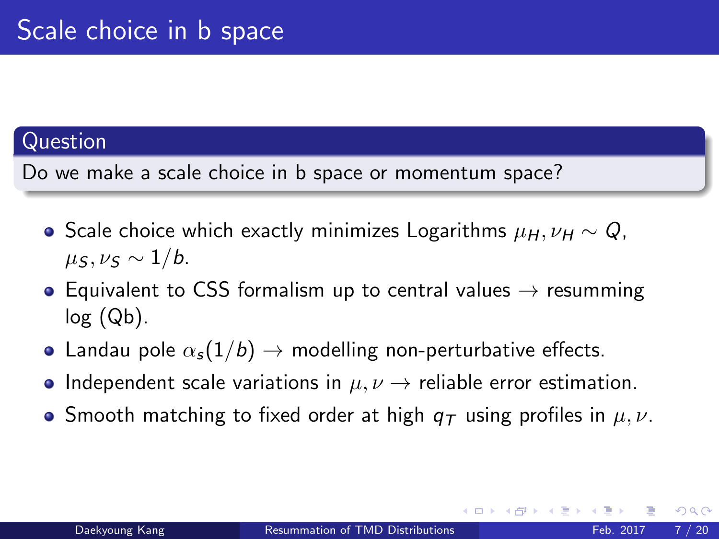#### Question

Do we make a scale choice in b space or momentum space?

- Scale choice which exactly minimizes Logarithms  $\mu_H$ ,  $\nu_H \sim Q$ ,  $\mu_S, \nu_S \sim 1/b$ .
- Equivalent to CSS formalism up to central values  $\rightarrow$  resumming  $log (Qb)$ .
- Landau pole  $\alpha_s(1/b) \rightarrow$  modelling non-perturbative effects.
- Independent scale variations in  $\mu, \nu \rightarrow$  reliable error estimation.
- **•** Smooth matching to fixed order at high  $q_T$  using profiles in  $\mu, \nu$ .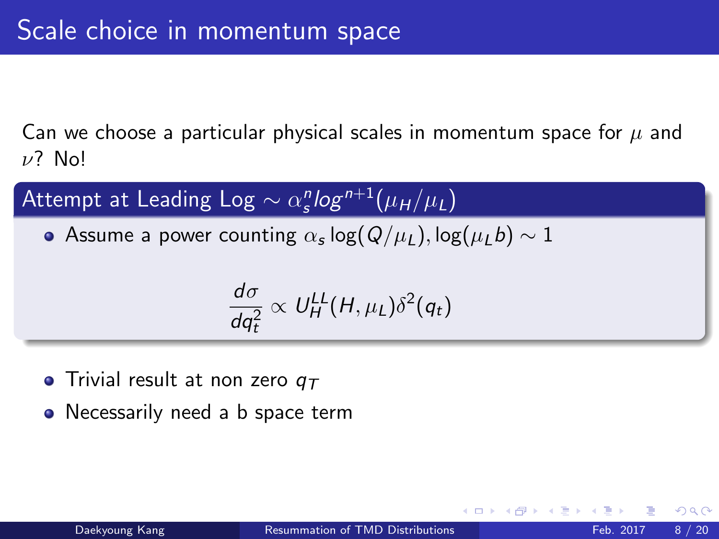Can we choose a particular physical scales in momentum space for  $\mu$  and  $ν$ ? No!

Attempt at Leading Log  $\sim \alpha_{\sf s}^n$ log $^{n+1}(\mu_{\sf H}/\mu_{\sf L})$ 

Assume a power counting  $\alpha_{\bm{s}}\log(Q/\mu_L), \log(\mu_L b) \sim 1$ 

$$
\frac{d\sigma}{dq_t^2} \propto U_H^{LL}(H,\mu_L)\delta^2(q_t)
$$

- Trivial result at non zero  $q_T$
- Necessarily need a b space term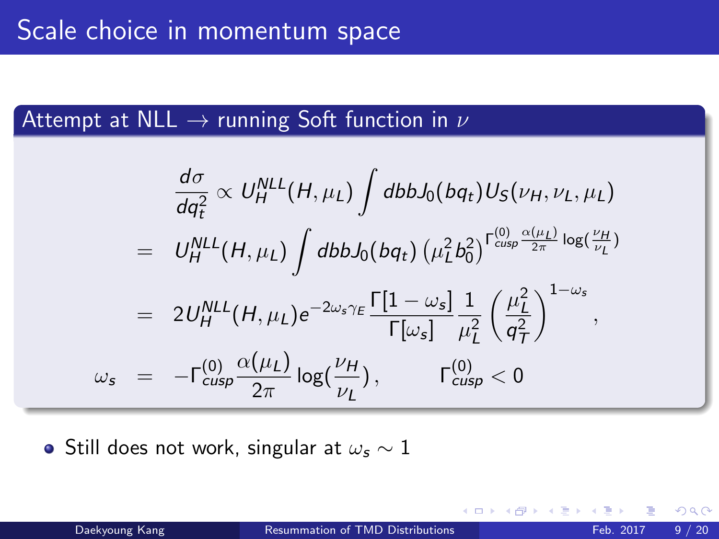## Attempt at  $NLL \rightarrow$  running Soft function in  $\nu$

$$
\frac{d\sigma}{dq_t^2} \propto U_H^{NLL}(H, \mu_L) \int dbbJ_0(bq_t)U_S(\nu_H, \nu_L, \mu_L)
$$
\n
$$
= U_H^{NLL}(H, \mu_L) \int dbbJ_0(bq_t) (\mu_L^2 b_0^2)^{\Gamma_{cusp}^{(0)} \frac{\alpha(\mu_L)}{2\pi} \log(\frac{\nu_H}{\nu_L})}
$$
\n
$$
= 2U_H^{NLL}(H, \mu_L)e^{-2\omega_s\gamma_E} \frac{\Gamma[1-\omega_s]}{\Gamma[\omega_s]} \frac{1}{\mu_L^2} \left(\frac{\mu_L^2}{q_T^2}\right)^{1-\omega_s},
$$
\n
$$
\omega_s = -\Gamma_{cusp}^{(0)} \frac{\alpha(\mu_L)}{2\pi} \log(\frac{\nu_H}{\nu_L}), \qquad \Gamma_{cusp}^{(0)} < 0
$$

• Still does not work, singular at  $\omega_s \sim 1$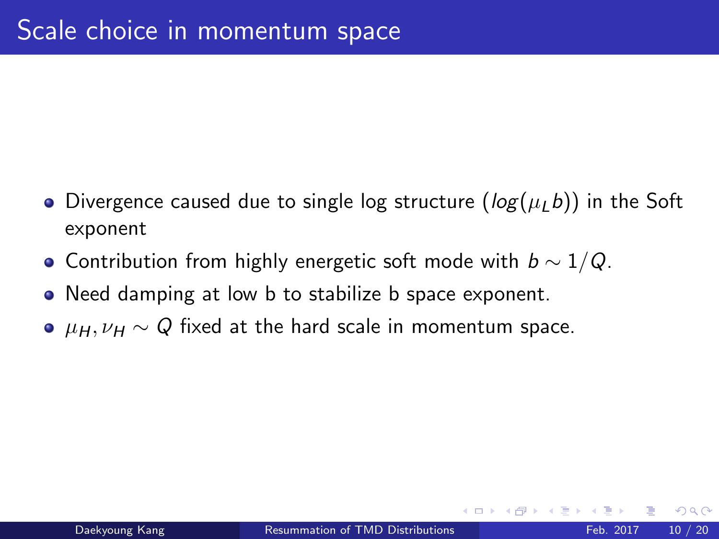- Divergence caused due to single log structure ( $log(\mu_L b)$ ) in the Soft exponent
- Contribution from highly energetic soft mode with  $b \sim 1/Q$ .
- Need damping at low b to stabilize b space exponent.
- $\mu_H$ ,  $\nu_H \sim Q$  fixed at the hard scale in momentum space.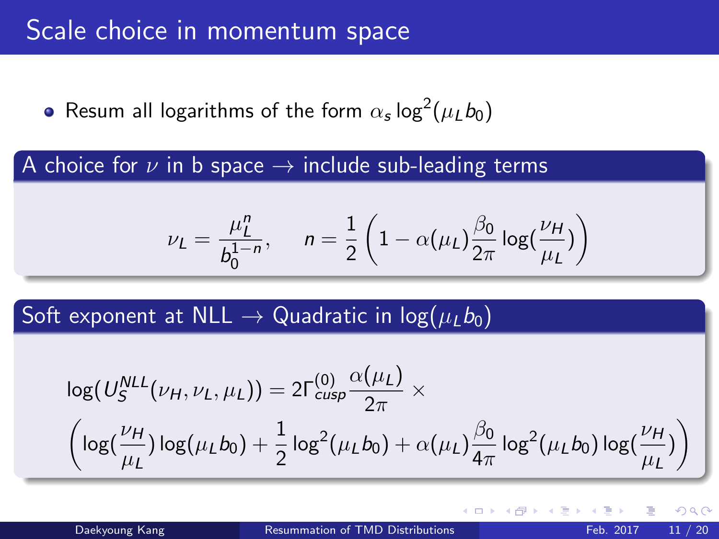Resum all logarithms of the form  $\alpha_{\sf s}$  log $^2(\mu_Lb_0)$ 

A choice for  $\nu$  in b space  $\rightarrow$  include sub-leading terms

$$
\nu_L = \frac{\mu_L^n}{b_0^{1-n}}, \quad n = \frac{1}{2} \left( 1 - \alpha(\mu_L) \frac{\beta_0}{2\pi} \log(\frac{\nu_H}{\mu_L}) \right)
$$

Soft exponent at NLL  $\rightarrow$  Quadratic in log( $\mu_1 b_0$ )

$$
\log(U_S^{NLL}(\nu_H, \nu_L, \mu_L)) = 2\Gamma_{cusp}^{(0)} \frac{\alpha(\mu_L)}{2\pi} \times \left(\log(\frac{\nu_H}{\mu_L}) \log(\mu_L b_0) + \frac{1}{2} \log^2(\mu_L b_0) + \alpha(\mu_L) \frac{\beta_0}{4\pi} \log^2(\mu_L b_0) \log(\frac{\nu_H}{\mu_L})\right)
$$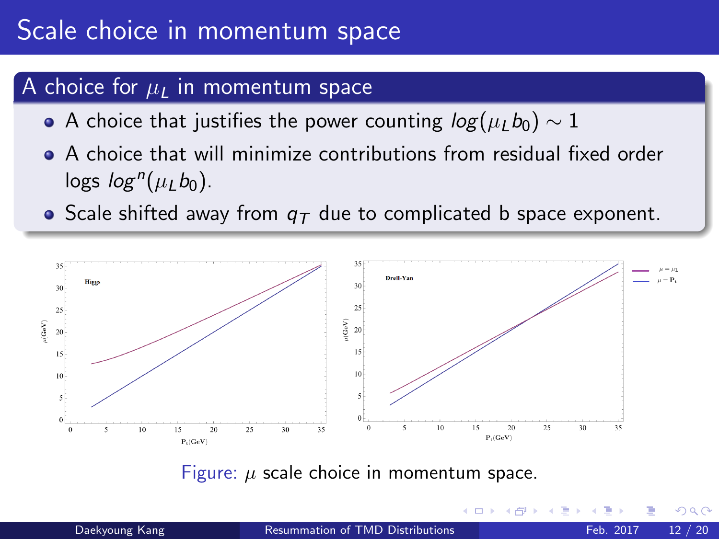#### A choice for  $\mu_L$  in momentum space

- A choice that justifies the power counting  $log(\mu_L b_0) \sim 1$
- A choice that will minimize contributions from residual fixed order logs  $log^n(\mu_L b_0)$ .
- Scale shifted away from  $q<sub>T</sub>$  due to complicated b space exponent.



Figure:  $\mu$  scale choice in momentum space.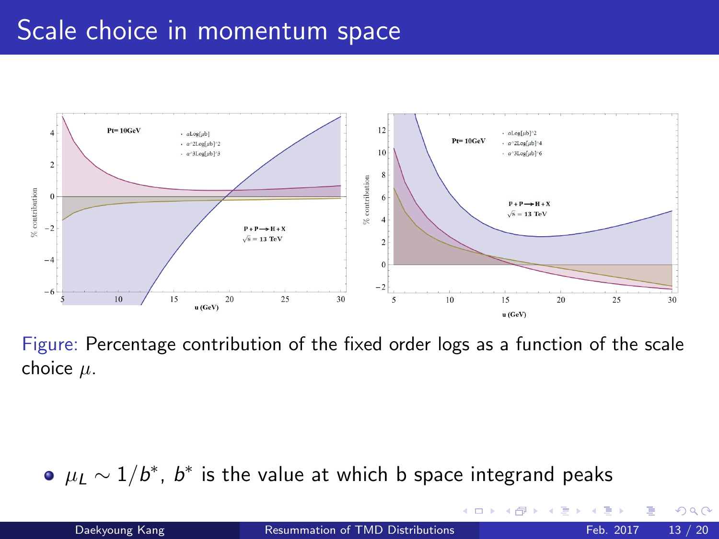# Scale choice in momentum space



Figure: Percentage contribution of the fixed order logs as a function of the scale choice  $\mu$ .

 $\mu_L \sim 1/b^*$ ,  $b^*$  is the value at which b space integrand peaks

4 D F

 $QQ$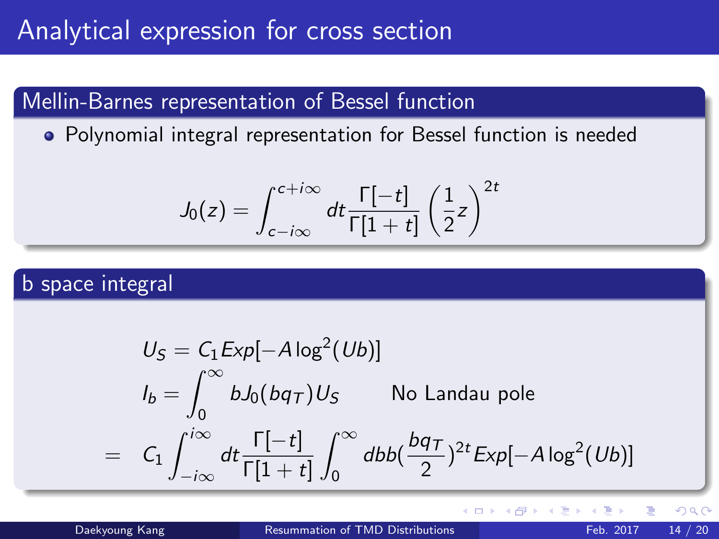## Mellin-Barnes representation of Bessel function

Polynomial integral representation for Bessel function is needed

$$
J_0(z) = \int_{c-i\infty}^{c+i\infty} dt \frac{\Gamma[-t]}{\Gamma[1+t]} \left(\frac{1}{2}z\right)^{2t}
$$

#### b space integral

$$
U_S = C_1 Exp[-A \log^2(Ub)]
$$
  
\n
$$
I_b = \int_0^\infty b J_0(bq_T) U_S
$$
 No Landau pole  
\n
$$
= C_1 \int_{-i\infty}^{i\infty} dt \frac{\Gamma[-t]}{\Gamma[1+t]} \int_0^\infty db b(\frac{bq_T}{2})^{2t} Exp[-A \log^2(Ub)]
$$

**← ロ → → ← 何 →** 

 $QQ$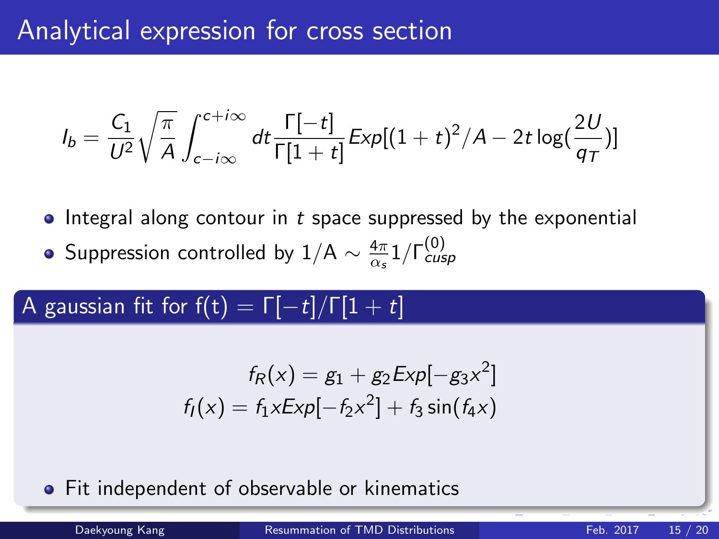$$
I_b = \frac{C_1}{U^2} \sqrt{\frac{\pi}{A}} \int_{c-i\infty}^{c+i\infty} dt \frac{\Gamma[-t]}{\Gamma[1+t]} \exp[(1+t)^2/A - 2t \log(\frac{2U}{q})]
$$

- $\bullet$  Integral along contour in t space suppressed by the exponential
- Suppression controlled by  $1/A \sim \frac{4\pi}{\alpha}$  $\frac{4\pi}{\alpha_s}$ 1/Γ $_{cusp}^{(0)}$

## A gaussian fit for  $f(t) = \Gamma[-t]/\Gamma[1 + t]$

$$
f_R(x) = g_1 + g_2 \exp[-g_3 x^2]
$$
  

$$
f_I(x) = f_1 x \exp[-f_2 x^2] + f_3 \sin(f_4 x)
$$

**•** Fit independent of observable or kinematics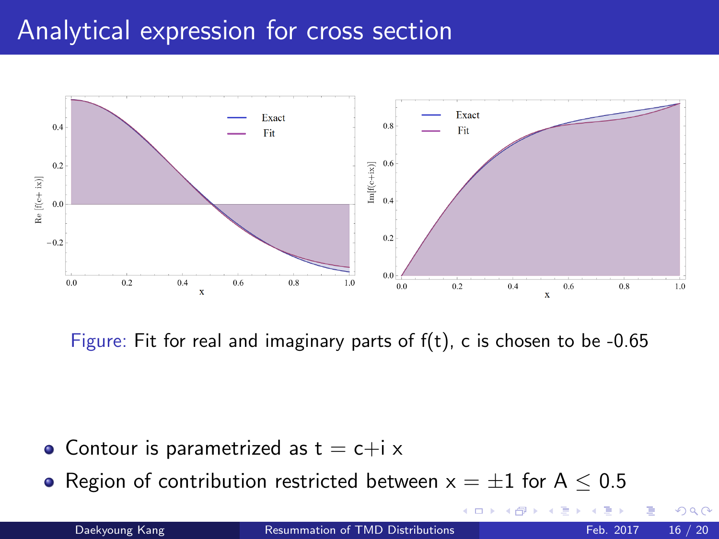## Analytical expression for cross section



Figure: Fit for real and imaginary parts of  $f(t)$ , c is chosen to be -0.65

- Contour is parametrized as  $t = c+i \times$
- Region of contribution restricted between  $x = \pm 1$  for A  $\leq 0.5$

Daekyoung Kang **[Resummation of TMD Distributions](#page-0-0)** Feb. 2017 16 / 20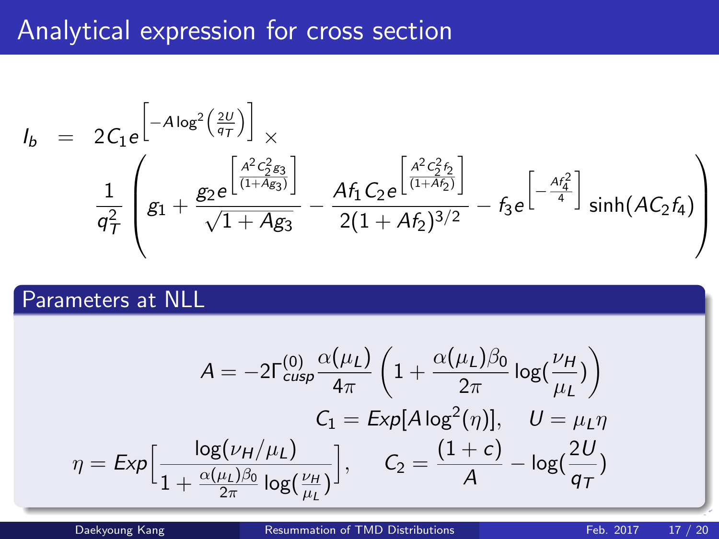# <span id="page-16-0"></span>Analytical expression for cross section

$$
I_b = 2C_1e^{-A \log^2\left(\frac{2U}{q_T}\right)} \times \frac{1}{q_T^2} \left(g_1 + \frac{g_2 e^{\left[\frac{A^2 C_2^2 g_3}{(1+A g_3)}\right]}}{\sqrt{1+A g_3}} - \frac{Af_1 C_2 e^{\left[\frac{A^2 C_2^2 f_2}{(1+A f_2)}\right]}}{2(1+A f_2)^{3/2}} - f_3 e^{\left[-\frac{Af_4^2}{4}\right]} \sinh(A C_2 f_4)\right)
$$

#### Parameters at NLL

$$
A = -2\Gamma_{\text{cusp}}^{(0)} \frac{\alpha(\mu_L)}{4\pi} \left( 1 + \frac{\alpha(\mu_L)\beta_0}{2\pi} \log(\frac{\nu_H}{\mu_L}) \right)
$$
  

$$
C_1 = \exp[A \log^2(\eta)], \quad U = \mu_L \eta
$$
  

$$
\eta = \exp\Big[\frac{\log(\nu_H/\mu_L)}{1 + \frac{\alpha(\mu_L)\beta_0}{2\pi} \log(\frac{\nu_H}{\mu_L})}\Big], \quad C_2 = \frac{(1+c)}{A} - \log(\frac{2U}{q_T})
$$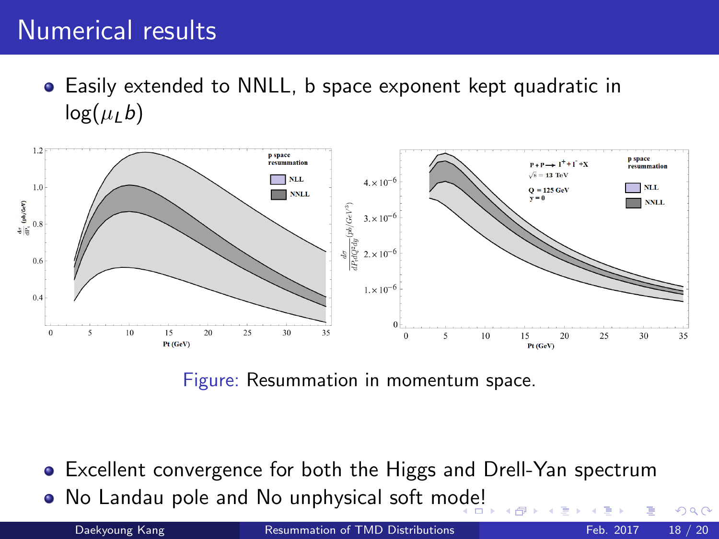# Numerical results

Easily extended to NNLL, b space exponent kept quadratic in  $log(\mu_l b)$ 



Figure: Resummation in momentum space.

- Excellent convergence for both the Higgs and Drell-Yan spectrum
- No Landau pole and No unphysical soft m[ode](#page-16-0)[!](#page-18-0)

Daekyoung Kang **[Resummation of TMD Distributions](#page-0-0)** Feb. 2017 18 / 20

 $QQ$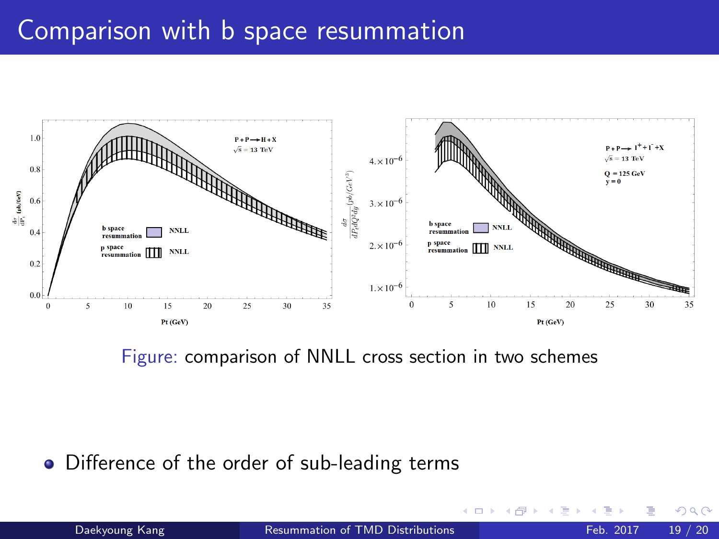## <span id="page-18-0"></span>Comparison with b space resummation



Figure: comparison of NNLL cross section in two schemes

• Difference of the order of sub-leading terms

×.  $\Box$